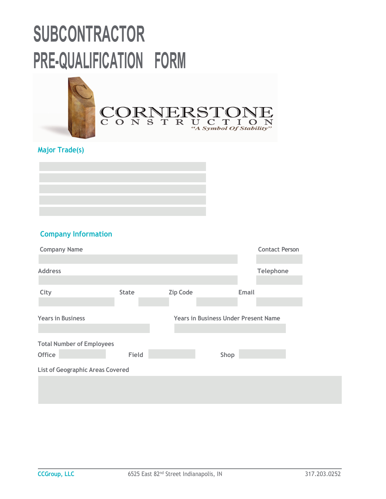

### **Major Trade(s)**



### **Company Information**

| <b>Company Name</b>                     |              |                 | <b>Contact Person</b>                       |
|-----------------------------------------|--------------|-----------------|---------------------------------------------|
| <b>Address</b>                          |              |                 | Telephone                                   |
|                                         |              |                 |                                             |
| City                                    | <b>State</b> | <b>Zip Code</b> | Email                                       |
|                                         |              |                 |                                             |
| <b>Years in Business</b>                |              |                 | <b>Years in Business Under Present Name</b> |
|                                         |              |                 |                                             |
| <b>Total Number of Employees</b>        |              |                 |                                             |
| <b>Office</b>                           | Field        |                 | Shop                                        |
| <b>List of Geographic Areas Covered</b> |              |                 |                                             |
|                                         |              |                 |                                             |
|                                         |              |                 |                                             |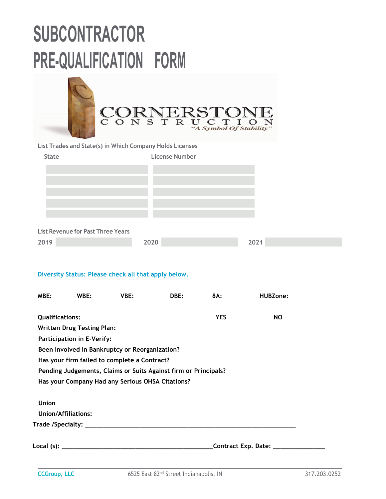| $\mathbf C$                                                                                                         | S<br>O N | ∢`<br>$\mathbf R$<br>$\mathbf T$ | "A Symbol Of Stability" |                 |  |
|---------------------------------------------------------------------------------------------------------------------|----------|----------------------------------|-------------------------|-----------------|--|
| List Trades and State(s) in Which Company Holds Licenses                                                            |          |                                  |                         |                 |  |
| <b>State</b>                                                                                                        |          | <b>License Number</b>            |                         |                 |  |
| <b>List Revenue for Past Three Years</b>                                                                            |          |                                  |                         |                 |  |
| 2019                                                                                                                | 2020     |                                  |                         | 2021            |  |
| Diversity Status: Please check all that apply below.<br>MBE:<br>WBE:                                                | VBE:     | DBE:                             | 8A:                     | <b>HUBZone:</b> |  |
| <b>Qualifications:</b>                                                                                              |          |                                  | <b>YES</b>              | <b>NO</b>       |  |
| <b>Written Drug Testing Plan:</b>                                                                                   |          |                                  |                         |                 |  |
| Participation in E-Verify:                                                                                          |          |                                  |                         |                 |  |
| Been Involved in Bankruptcy or Reorganization?                                                                      |          |                                  |                         |                 |  |
| Has your firm failed to complete a Contract?                                                                        |          |                                  |                         |                 |  |
| Pending Judgements, Claims or Suits Against firm or Principals?<br>Has your Company Had any Serious OHSA Citations? |          |                                  |                         |                 |  |
|                                                                                                                     |          |                                  |                         |                 |  |
|                                                                                                                     |          |                                  |                         |                 |  |
| <b>Union</b>                                                                                                        |          |                                  |                         |                 |  |
| <b>Union/Affiliations:</b>                                                                                          |          |                                  |                         |                 |  |
|                                                                                                                     |          |                                  |                         |                 |  |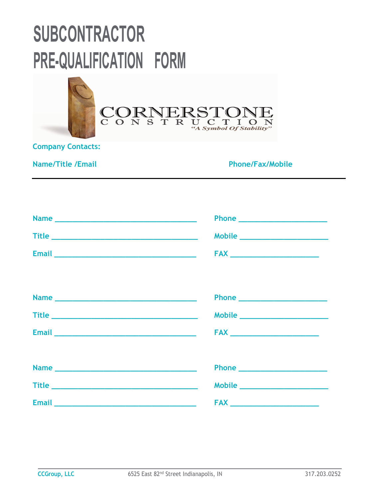

**Company Contacts:** 

**Name/Title /Email Phone/Fax/Mobile 2018** 

|                                                                                                                | Phone _________________________ |
|----------------------------------------------------------------------------------------------------------------|---------------------------------|
|                                                                                                                | Mobile ________________________ |
|                                                                                                                |                                 |
|                                                                                                                |                                 |
|                                                                                                                |                                 |
|                                                                                                                |                                 |
|                                                                                                                |                                 |
| Email 2008 - 2008 - 2019 - 2019 - 2019 - 2019 - 2019 - 2019 - 2019 - 2019 - 2019 - 2019 - 2019 - 2019 - 2019 - |                                 |
|                                                                                                                |                                 |
|                                                                                                                | Phone ________________________  |
|                                                                                                                |                                 |
| Email 2008 2010 10:00:00 10:00:00 10:00:00 10:00:00 10:00:00 10:00:00 10:00:00 10:00:00 10:00:00 10:00:00 10:0 |                                 |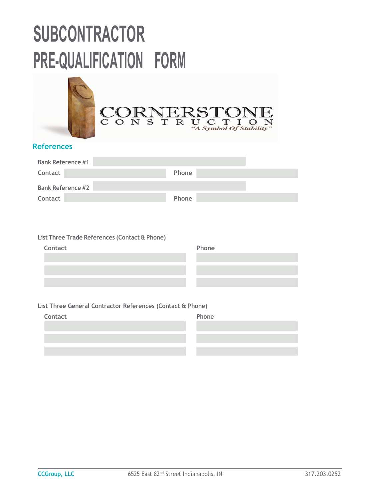

### **References**

| <b>Bank Reference #1</b> |              |
|--------------------------|--------------|
| Contact                  | <b>Phone</b> |
| <b>Bank Reference #2</b> |              |
| Contact                  | Phone        |

#### **List Three Trade References (Contact & Phone)**

| Contact | Phone |
|---------|-------|
|         |       |
|         |       |
|         |       |

#### **List Three General Contractor References (Contact & Phone)**

| Contact | Phone |
|---------|-------|
|         |       |
|         |       |
|         |       |
|         |       |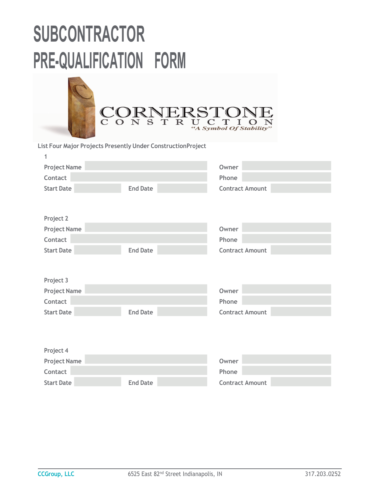

**List Four Major Projects Presently Under ConstructionProject**

| <b>Project Name</b> |                 | Owner                  |
|---------------------|-----------------|------------------------|
| Contact             |                 | Phone                  |
| <b>Start Date</b>   | <b>End Date</b> | <b>Contract Amount</b> |
|                     |                 |                        |
|                     |                 |                        |
| Project 2           |                 |                        |
| <b>Project Name</b> |                 | Owner                  |
| Contact             |                 | Phone                  |
| <b>Start Date</b>   | <b>End Date</b> | <b>Contract Amount</b> |
|                     |                 |                        |
|                     |                 |                        |
| Project 3           |                 |                        |
| <b>Project Name</b> |                 | Owner                  |
| Contact             |                 | Phone                  |
| <b>Start Date</b>   | <b>End Date</b> | <b>Contract Amount</b> |
|                     |                 |                        |
|                     |                 |                        |
|                     |                 |                        |
| Project 4           |                 |                        |
| <b>Project Name</b> |                 | <b>Owner</b>           |
| Contact             |                 | Phone                  |
| <b>Start Date</b>   | <b>End Date</b> | <b>Contract Amount</b> |

**1**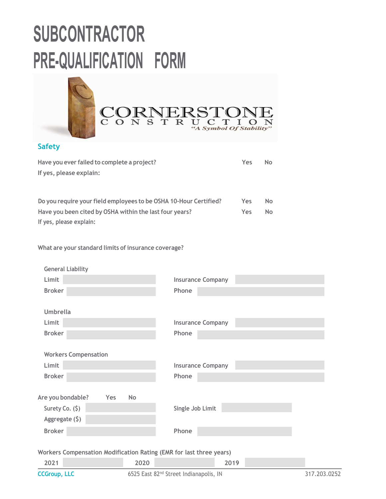

### **Safety**

| Have you ever failed to complete a project?                       | Yes        | <b>No</b> |
|-------------------------------------------------------------------|------------|-----------|
| If yes, please explain:                                           |            |           |
|                                                                   |            |           |
|                                                                   |            |           |
| Do you require your field employees to be OSHA 10-Hour Certified? | <b>Yes</b> | <b>No</b> |
| Have you been cited by OSHA within the last four years?           | <b>Yes</b> | No.       |
| If yes, please explain:                                           |            |           |

**What are your standard limits of insurance coverage?**

| <b>CCGroup, LLC</b>                                                 |                  | 6525 East 82 <sup>nd</sup> Street Indianapolis, IN |      | 317.203.0252 |
|---------------------------------------------------------------------|------------------|----------------------------------------------------|------|--------------|
| 2021                                                                | 2020             |                                                    | 2019 |              |
| Workers Compensation Modification Rating (EMR for last three years) |                  |                                                    |      |              |
| <b>Broker</b>                                                       |                  | Phone                                              |      |              |
| Aggregate $(5)$                                                     |                  |                                                    |      |              |
| Surety Co. (\$)                                                     |                  | Single Job Limit                                   |      |              |
| Are you bondable?                                                   | Yes<br><b>No</b> |                                                    |      |              |
| <b>Broker</b>                                                       |                  | Phone                                              |      |              |
| Limit                                                               |                  | <b>Insurance Company</b>                           |      |              |
| <b>Workers Compensation</b>                                         |                  |                                                    |      |              |
| <b>Broker</b>                                                       |                  | Phone                                              |      |              |
| Limit                                                               |                  | <b>Insurance Company</b>                           |      |              |
| <b>Umbrella</b>                                                     |                  |                                                    |      |              |
| <b>Broker</b>                                                       |                  | Phone                                              |      |              |
| Limit                                                               |                  | <b>Insurance Company</b>                           |      |              |
| <b>General Liability</b>                                            |                  |                                                    |      |              |